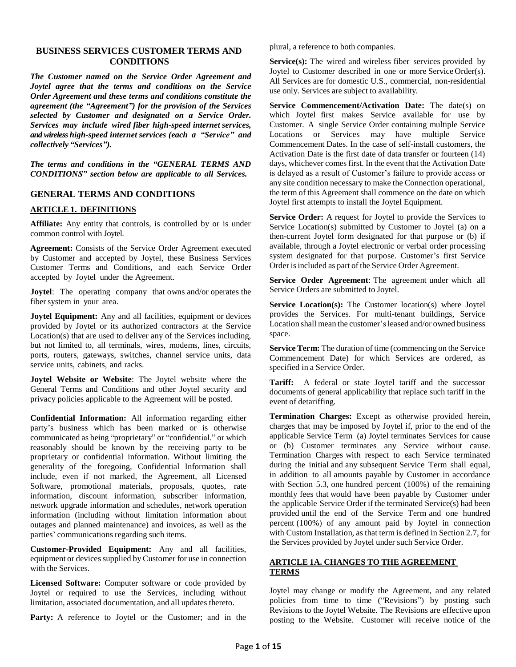### **BUSINESS SERVICES CUSTOMER TERMS AND CONDITIONS**

*The Customer named on the Service Order Agreement and Joytel agree that the terms and conditions on the Service Order Agreement and these terms and conditions constitute the agreement (the "Agreement") for the provision of the Services selected by Customer and designated on a Service Order. Services may include wired fiber high-speed internet services, and wireless high-speed internet services (each a "Service" and collectively "Services").*

*The terms and conditions in the "GENERAL TERMS AND CONDITIONS" section below are applicable to all Services.*

### **GENERAL TERMS AND CONDITIONS**

### **ARTICLE 1. DEFINITIONS**

**Affiliate:** Any entity that controls, is controlled by or is under common control with Joytel.

**Agreement:** Consists of the Service Order Agreement executed by Customer and accepted by Joytel, these Business Services Customer Terms and Conditions, and each Service Order accepted by Joytel under the Agreement.

**Joytel:** The operating company that owns and/or operates the fiber system in your area.

**Joytel Equipment:** Any and all facilities, equipment or devices provided by Joytel or its authorized contractors at the Service Location(s) that are used to deliver any of the Services including, but not limited to, all terminals, wires, modems, lines, circuits, ports, routers, gateways, switches, channel service units, data service units, cabinets, and racks.

**Joytel Website or Website**: The Joytel website where the General Terms and Conditions and other Joytel security and privacy policies applicable to the Agreement will be posted.

**Confidential Information:** All information regarding either party's business which has been marked or is otherwise communicated as being "proprietary" or "confidential." or which reasonably should be known by the receiving party to be proprietary or confidential information. Without limiting the generality of the foregoing, Confidential Information shall include, even if not marked, the Agreement, all Licensed Software, promotional materials, proposals, quotes, rate information, discount information, subscriber information, network upgrade information and schedules, network operation information (including without limitation information about outages and planned maintenance) and invoices, as well as the parties' communications regarding such items.

**Customer-Provided Equipment:** Any and all facilities, equipment or devices supplied by Customer for use in connection with the Services.

**Licensed Software:** Computer software or code provided by Joytel or required to use the Services, including without limitation, associated documentation, and all updates thereto.

**Party:** A reference to Joytel or the Customer; and in the

plural, a reference to both companies.

**Service(s):** The wired and wireless fiber services provided by Joytel to Customer described in one or more Service Order(s). All Services are for domestic U.S., commercial, non-residential use only. Services are subject to availability.

**Service Commencement/Activation Date:** The date(s) on which Joytel first makes Service available for use by Customer. A single Service Order containing multiple Service Locations or Services may have multiple Service Commencement Dates. In the case of self-install customers, the Activation Date is the first date of data transfer or fourteen (14) days, whichever comes first. In the event that the Activation Date is delayed as a result of Customer's failure to provide access or any site condition necessary to make the Connection operational, the term of this Agreement shall commence on the date on which Joytel first attempts to install the Joytel Equipment.

**Service Order:** A request for Joytel to provide the Services to Service Location(s) submitted by Customer to Joytel (a) on a then-current Joytel form designated for that purpose or (b) if available, through a Joytel electronic or verbal order processing system designated for that purpose. Customer's first Service Order is included as part of the Service Order Agreement.

**Service Order Agreement**: The agreement under which all Service Orders are submitted to Joytel.

**Service Location(s):** The Customer location(s) where Joytel provides the Services. For multi-tenant buildings, Service Location shall mean the customer'sleased and/or owned business space.

**Service Term:** The duration of time (commencing on the Service Commencement Date) for which Services are ordered, as specified in a Service Order.

**Tariff:** A federal or state Joytel tariff and the successor documents of general applicability that replace such tariff in the event of detariffing.

**Termination Charges:** Except as otherwise provided herein, charges that may be imposed by Joytel if, prior to the end of the applicable Service Term (a) Joytel terminates Services for cause or (b) Customer terminates any Service without cause. Termination Charges with respect to each Service terminated during the initial and any subsequent Service Term shall equal, in addition to all amounts payable by Customer in accordance with Section 5.3, one hundred percent (100%) of the remaining monthly fees that would have been payable by Customer under the applicable Service Order if the terminated Service(s) had been provided until the end of the Service Term and one hundred percent (100%) of any amount paid by Joytel in connection with Custom Installation, as that term is defined in Section 2.7, for the Services provided by Joytel under such Service Order.

## **ARTICLE 1A. CHANGES TO THE AGREEMENT TERMS**

Joytel may change or modify the Agreement, and any related policies from time to time ("Revisions") by posting such Revisions to the Joytel Website. The Revisions are effective upon posting to the Website. Customer will receive notice of the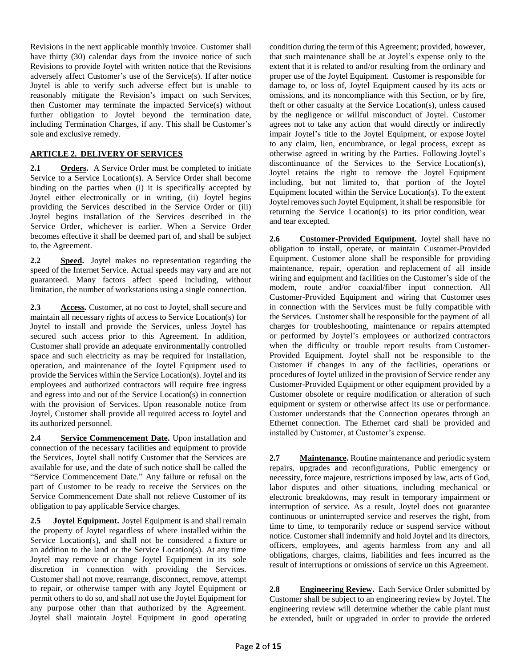Revisions in the next applicable monthly invoice. Customer shall have thirty (30) calendar days from the invoice notice of such Revisions to provide Joytel with written notice that the Revisions adversely affect Customer's use of the Service(s). If after notice Joytel is able to verify such adverse effect but is unable to reasonably mitigate the Revision's impact on such Services, then Customer may terminate the impacted Service(s) without further obligation to Joytel beyond the termination date, including Termination Charges, if any. This shall be Customer's sole and exclusive remedy.

## **ARTICLE 2. DELIVERY OF SERVICES**

**2.1 Orders.** A Service Order must be completed to initiate Service to a Service Location(s). A Service Order shall become binding on the parties when (i) it is specifically accepted by Joytel either electronically or in writing, (ii) Joytel begins providing the Services described in the Service Order or (iii) Joytel begins installation of the Services described in the Service Order, whichever is earlier. When a Service Order becomes effective it shall be deemed part of, and shall be subject to, the Agreement.

**2.2 Speed.** Joytel makes no representation regarding the speed of the Internet Service. Actual speeds may vary and are not guaranteed. Many factors affect speed including, without limitation, the number of workstations using a single connection.

**2.3 Access.** Customer, at no cost to Joytel, shall secure and maintain all necessary rights of access to Service Location(s) for Joytel to install and provide the Services, unless Joytel has secured such access prior to this Agreement. In addition, Customer shall provide an adequate environmentally controlled space and such electricity as may be required for installation, operation, and maintenance of the Joytel Equipment used to provide the Services within the Service Location(s). Joytel and its employees and authorized contractors will require free ingress and egress into and out of the Service Location(s) in connection with the provision of Services. Upon reasonable notice from Joytel, Customer shall provide all required access to Joytel and its authorized personnel.

**2.4 Service Commencement Date.** Upon installation and connection of the necessary facilities and equipment to provide the Services, Joytel shall notify Customer that the Services are available for use, and the date of such notice shall be called the "Service Commencement Date." Any failure or refusal on the part of Customer to be ready to receive the Services on the Service Commencement Date shall not relieve Customer of its obligation to pay applicable Service charges.

**2.5 Joytel Equipment.** Joytel Equipment is and shall remain the property of Joytel regardless of where installed within the Service Location(s), and shall not be considered a fixture or an addition to the land or the Service Location(s). At any time Joytel may remove or change Joytel Equipment in its sole discretion in connection with providing the Services. Customer shall not move, rearrange, disconnect, remove, attempt to repair, or otherwise tamper with any Joytel Equipment or permit others to do so, and shall not use the Joytel Equipment for any purpose other than that authorized by the Agreement. Joytel shall maintain Joytel Equipment in good operating

condition during the term of this Agreement; provided, however, that such maintenance shall be at Joytel's expense only to the extent that it is related to and/or resulting from the ordinary and proper use of the Joytel Equipment. Customer is responsible for damage to, or loss of, Joytel Equipment caused by its acts or omissions, and its noncompliance with this Section, or by fire, theft or other casualty at the Service Location(s), unless caused by the negligence or willful misconduct of Joytel. Customer agrees not to take any action that would directly or indirectly impair Joytel's title to the Joytel Equipment, or expose Joytel to any claim, lien, encumbrance, or legal process, except as otherwise agreed in writing by the Parties. Following Joytel's discontinuance of the Services to the Service Location(s), Joytel retains the right to remove the Joytel Equipment including, but not limited to, that portion of the Joytel Equipment located within the Service Location(s). To the extent Joytel removes such Joytel Equipment, it shall be responsible for returning the Service Location(s) to its prior condition, wear and tear excepted.

**2.6 Customer-Provided Equipment.** Joytel shall have no obligation to install, operate, or maintain Customer-Provided Equipment. Customer alone shall be responsible for providing maintenance, repair, operation and replacement of all inside wiring and equipment and facilities on the Customer's side of the modem, route and/or coaxial/fiber input connection. All Customer-Provided Equipment and wiring that Customer uses in connection with the Services must be fully compatible with the Services. Customer shall be responsible for the payment of all charges for troubleshooting, maintenance or repairs attempted or performed by Joytel's employees or authorized contractors when the difficulty or trouble report results from Customer-Provided Equipment. Joytel shall not be responsible to the Customer if changes in any of the facilities, operations or procedures of Joytel utilized in the provision of Service render any Customer-Provided Equipment or other equipment provided by a Customer obsolete or require modification or alteration of such equipment or system or otherwise affect its use or performance. Customer understands that the Connection operates through an Ethernet connection. The Ethernet card shall be provided and installed by Customer, at Customer's expense.

**2.7 Maintenance.** Routine maintenance and periodic system repairs, upgrades and reconfigurations, Public emergency or necessity, force majeure, restrictions imposed by law, acts of God, labor disputes and other situations, including mechanical or electronic breakdowns, may result in temporary impairment or interruption of service. As a result, Joytel does not guarantee continuous or uninterrupted service and reserves the right, from time to time, to temporarily reduce or suspend service without notice. Customer shall indemnify and hold Joytel and its directors, officers, employees, and agents harmless from any and all obligations, charges, claims, liabilities and fees incurred as the result of interruptions or omissions of service un this Agreement.

**2.8 Engineering Review.** Each Service Order submitted by Customer shall be subject to an engineering review by Joytel. The engineering review will determine whether the cable plant must be extended, built or upgraded in order to provide the ordered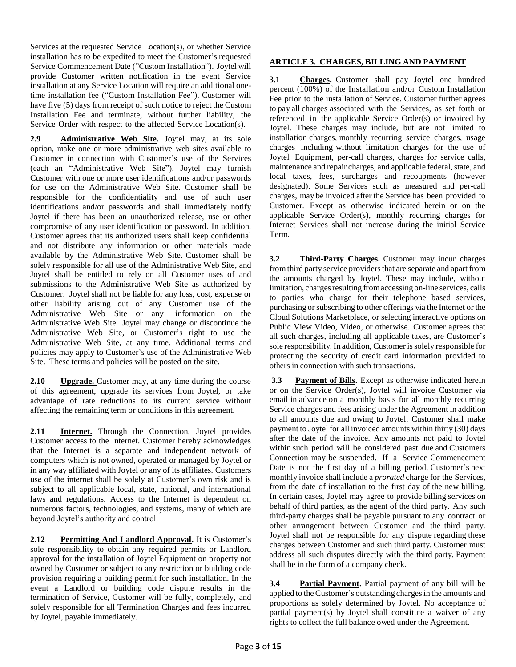Services at the requested Service Location(s), or whether Service installation has to be expedited to meet the Customer's requested Service Commencement Date ("Custom Installation"). Joytel will provide Customer written notification in the event Service installation at any Service Location will require an additional onetime installation fee ("Custom Installation Fee"). Customer will have five (5) days from receipt of such notice to reject the Custom Installation Fee and terminate, without further liability, the Service Order with respect to the affected Service Location(s).

**2.9 Administrative Web Site.** Joytel may, at its sole option, make one or more administrative web sites available to Customer in connection with Customer's use of the Services (each an "Administrative Web Site"). Joytel may furnish Customer with one or more user identifications and/or passwords for use on the Administrative Web Site. Customer shall be responsible for the confidentiality and use of such user identifications and/or passwords and shall immediately notify Joytel if there has been an unauthorized release, use or other compromise of any user identification or password. In addition, Customer agrees that its authorized users shall keep confidential and not distribute any information or other materials made available by the Administrative Web Site. Customer shall be solely responsible for all use of the Administrative Web Site, and Joytel shall be entitled to rely on all Customer uses of and submissions to the Administrative Web Site as authorized by Customer. Joytel shall not be liable for any loss, cost, expense or other liability arising out of any Customer use of the Administrative Web Site or any information on the Administrative Web Site. Joytel may change or discontinue the Administrative Web Site, or Customer's right to use the Administrative Web Site, at any time. Additional terms and policies may apply to Customer's use of the Administrative Web Site. These terms and policies will be posted on the site.

**2.10 Upgrade.** Customer may, at any time during the course of this agreement, upgrade its services from Joytel, or take advantage of rate reductions to its current service without affecting the remaining term or conditions in this agreement.

2.11 **Internet.** Through the Connection, Joytel provides Customer access to the Internet. Customer hereby acknowledges that the Internet is a separate and independent network of computers which is not owned, operated or managed by Joytel or in any way affiliated with Joytel or any of its affiliates. Customers use of the internet shall be solely at Customer's own risk and is subject to all applicable local, state, national, and international laws and regulations. Access to the Internet is dependent on numerous factors, technologies, and systems, many of which are beyond Joytel's authority and control.

**2.12 Permitting And Landlord Approval.** It is Customer's sole responsibility to obtain any required permits or Landlord approval for the installation of Joytel Equipment on property not owned by Customer or subject to any restriction or building code provision requiring a building permit for such installation. In the event a Landlord or building code dispute results in the termination of Service, Customer will be fully, completely, and solely responsible for all Termination Charges and fees incurred by Joytel, payable immediately.

## **ARTICLE 3. CHARGES, BILLING AND PAYMENT**

**3.1 Charges.** Customer shall pay Joytel one hundred percent (100%) of the Installation and/or Custom Installation Fee prior to the installation of Service. Customer further agrees to pay all charges associated with the Services, as set forth or referenced in the applicable Service Order(s) or invoiced by Joytel. These charges may include, but are not limited to installation charges, monthly recurring service charges, usage charges including without limitation charges for the use of Joytel Equipment, per-call charges, charges for service calls, maintenance and repair charges, and applicable federal, state, and local taxes, fees, surcharges and recoupments (however designated). Some Services such as measured and per-call charges, may be invoiced after the Service has been provided to Customer. Except as otherwise indicated herein or on the applicable Service Order(s), monthly recurring charges for Internet Services shall not increase during the initial Service Term.

**3.2 Third-Party Charges.** Customer may incur charges from third party service providers that are separate and apart from the amounts charged by Joytel. These may include, without limitation, charges resulting from accessing on-line services, calls to parties who charge for their telephone based services, purchasing or subscribing to other offerings via the Internet or the Cloud Solutions Marketplace, or selecting interactive options on Public View Video, Video, or otherwise. Customer agrees that all such charges, including all applicable taxes, are Customer's sole responsibility. In addition, Customer issolely responsible for protecting the security of credit card information provided to others in connection with such transactions.

**3.3 Payment of Bills.** Except as otherwise indicated herein or on the Service Order(s), Joytel will invoice Customer via email in advance on a monthly basis for all monthly recurring Service charges and fees arising under the Agreement in addition to all amounts due and owing to Joytel. Customer shall make payment to Joytel for all invoiced amounts within thirty (30) days after the date of the invoice. Any amounts not paid to Joytel within such period will be considered past due and Customers Connection may be suspended. If a Service Commencement Date is not the first day of a billing period, Customer's next monthly invoice shall include a *prorated* charge for the Services, from the date of installation to the first day of the new billing. In certain cases, Joytel may agree to provide billing services on behalf of third parties, as the agent of the third party. Any such third-party charges shall be payable pursuant to any contract or other arrangement between Customer and the third party. Joytel shall not be responsible for any dispute regarding these charges between Customer and such third party. Customer must address all such disputes directly with the third party. Payment shall be in the form of a company check.

**3.4 Partial Payment.** Partial payment of any bill will be applied to the Customer's outstanding charges in the amounts and proportions as solely determined by Joytel. No acceptance of partial payment(s) by Joytel shall constitute a waiver of any rights to collect the full balance owed under the Agreement.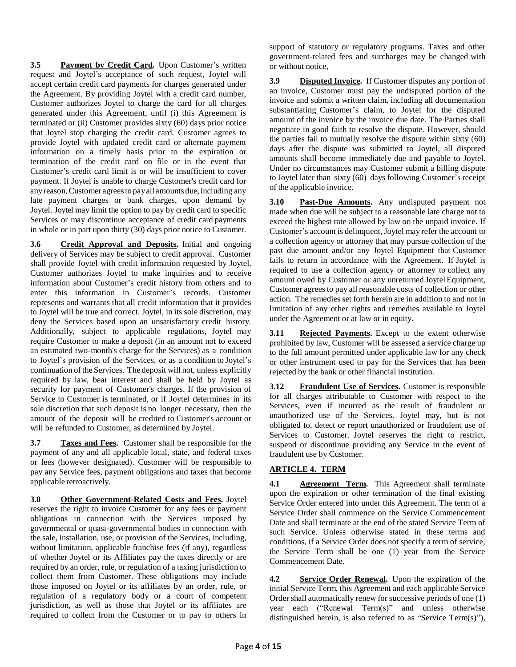**3.5 Payment by Credit Card.** Upon Customer's written request and Joytel's acceptance of such request, Joytel will accept certain credit card payments for charges generated under the Agreement. By providing Joytel with a credit card number, Customer authorizes Joytel to charge the card for all charges generated under this Agreement, until (i) this Agreement is terminated or (ii) Customer provides sixty (60) days prior notice that Joytel stop charging the credit card. Customer agrees to provide Joytel with updated credit card or alternate payment information on a timely basis prior to the expiration or termination of the credit card on file or in the event that Customer's credit card limit is or will be insufficient to cover payment. If Joytel is unable to charge Customer's credit card for any reason, Customer agrees to pay all amounts due, including any late payment charges or bank charges, upon demand by Joytel. Joytel may limit the option to pay by credit card to specific Services or may discontinue acceptance of credit card payments in whole or in part upon thirty (30) days prior notice to Customer.

**3.6 Credit Approval and Deposits.** Initial and ongoing delivery of Services may be subject to credit approval. Customer shall provide Joytel with credit information requested by Joytel. Customer authorizes Joytel to make inquiries and to receive information about Customer's credit history from others and to enter this information in Customer's records. Customer represents and warrants that all credit information that it provides to Joytel will be true and correct. Joytel, in its sole discretion, may deny the Services based upon an unsatisfactory credit history. Additionally, subject to applicable regulations, Joytel may require Customer to make a deposit (in an amount not to exceed an estimated two-month's charge for the Services) as a condition to Joytel's provision of the Services, or as a condition to Joytel's continuation of the Services. The deposit will not, unless explicitly required by law, bear interest and shall be held by Joytel as security for payment of Customer's charges. If the provision of Service to Customer is terminated, or if Joytel determines in its sole discretion that such deposit is no longer necessary, then the amount of the deposit will be credited to Customer's account or will be refunded to Customer, as determined by Joytel.

**3.7 Taxes and Fees.** Customer shall be responsible for the payment of any and all applicable local, state, and federal taxes or fees (however designated). Customer will be responsible to pay any Service fees, payment obligations and taxes that become applicable retroactively.

**3.8 Other Government-Related Costs and Fees.** Joytel reserves the right to invoice Customer for any fees or payment obligations in connection with the Services imposed by governmental or quasi-governmental bodies in connection with the sale, installation, use, or provision of the Services, including, without limitation, applicable franchise fees (if any), regardless of whether Joytel or its Affiliates pay the taxes directly or are required by an order, rule, or regulation of a taxing jurisdiction to collect them from Customer. These obligations may include those imposed on Joytel or its affiliates by an order, rule, or regulation of a regulatory body or a court of competent jurisdiction, as well as those that Joytel or its affiliates are required to collect from the Customer or to pay to others in

support of statutory or regulatory programs. Taxes and other government-related fees and surcharges may be changed with or without notice,

**3.9 Disputed Invoice.** If Customer disputes any portion of an invoice, Customer must pay the undisputed portion of the invoice and submit a written claim, including all documentation substantiating Customer's claim, to Joytel for the disputed amount of the invoice by the invoice due date. The Parties shall negotiate in good faith to resolve the dispute. However, should the parties fail to mutually resolve the dispute within sixty (60) days after the dispute was submitted to Joytel, all disputed amounts shall become immediately due and payable to Joytel. Under no circumstances may Customer submit a billing dispute to Joytel later than sixty (60) days following Customer's receipt of the applicable invoice.

**3.10 Past-Due Amounts.** Any undisputed payment not made when due will be subject to a reasonable late charge not to exceed the highest rate allowed by law on the unpaid invoice. If Customer's account is delinquent, Joytel may refer the account to a collection agency or attorney that may pursue collection of the past due amount and/or any Joytel Equipment that Customer fails to return in accordance with the Agreement. If Joytel is required to use a collection agency or attorney to collect any amount owed by Customer or any unreturned Joytel Equipment, Customer agrees to pay all reasonable costs of collection or other action. The remedies set forth herein are in addition to and not in limitation of any other rights and remedies available to Joytel under the Agreement or at law or in equity.

**3.11 Rejected Payments.** Except to the extent otherwise prohibited by law, Customer will be assessed a service charge up to the full amount permitted under applicable law for any check or other instrument used to pay for the Services that has been rejected by the bank or other financial institution.

**3.12 Fraudulent Use of Services.** Customer is responsible for all charges attributable to Customer with respect to the Services, even if incurred as the result of fraudulent or unauthorized use of the Services. Joytel may, but is not obligated to, detect or report unauthorized or fraudulent use of Services to Customer. Joytel reserves the right to restrict, suspend or discontinue providing any Service in the event of fraudulent use by Customer.

# **ARTICLE 4. TERM**

**4.1 Agreement Term.** This Agreement shall terminate upon the expiration or other termination of the final existing Service Order entered into under this Agreement. The term of a Service Order shall commence on the Service Commencement Date and shall terminate at the end of the stated Service Term of such Service. Unless otherwise stated in these terms and conditions, if a Service Order does not specify a term of service, the Service Term shall be one (1) year from the Service Commencement Date.

**4.2 Service Order Renewal.** Upon the expiration of the initial Service Term, this Agreement and each applicable Service Order shall automatically renew for successive periods of one (1) year each ("Renewal Term(s)" and unless otherwise distinguished herein, is also referred to as "Service Term(s)"),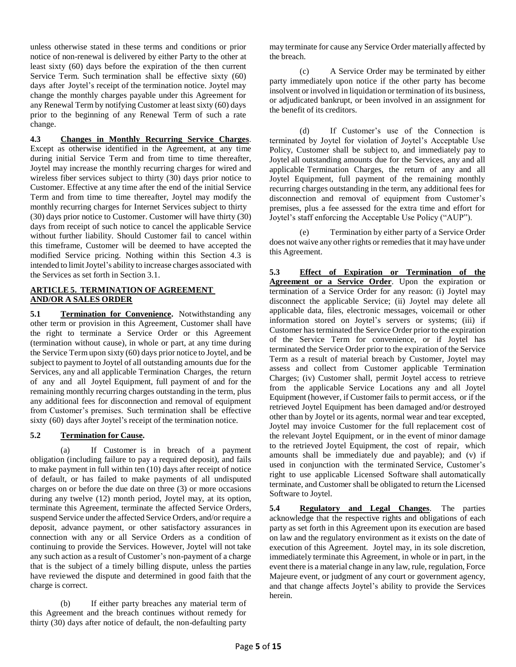unless otherwise stated in these terms and conditions or prior notice of non-renewal is delivered by either Party to the other at least sixty (60) days before the expiration of the then current Service Term. Such termination shall be effective sixty (60) days after Joytel's receipt of the termination notice. Joytel may change the monthly charges payable under this Agreement for any Renewal Term by notifying Customer at least sixty (60) days prior to the beginning of any Renewal Term of such a rate change.

**4.3 Changes in Monthly Recurring Service Charges**. Except as otherwise identified in the Agreement, at any time during initial Service Term and from time to time thereafter, Joytel may increase the monthly recurring charges for wired and wireless fiber services subject to thirty (30) days prior notice to Customer. Effective at any time after the end of the initial Service Term and from time to time thereafter, Joytel may modify the monthly recurring charges for Internet Services subject to thirty (30) days prior notice to Customer. Customer will have thirty (30) days from receipt of such notice to cancel the applicable Service without further liability. Should Customer fail to cancel within this timeframe, Customer will be deemed to have accepted the modified Service pricing. Nothing within this Section 4.3 is intended to limit Joytel's ability to increase charges associated with the Services as set forth in Section 3.1.

## **ARTICLE 5. TERMINATION OF AGREEMENT AND/OR A SALES ORDER**

**5.1 Termination for Convenience.** Notwithstanding any other term or provision in this Agreement, Customer shall have the right to terminate a Service Order or this Agreement (termination without cause), in whole or part, at any time during the Service Term upon sixty (60) days prior notice to Joytel, and be subject to payment to Joytel of all outstanding amounts due for the Services, any and all applicable Termination Charges, the return of any and all Joytel Equipment, full payment of and for the remaining monthly recurring charges outstanding in the term, plus any additional fees for disconnection and removal of equipment from Customer's premises. Such termination shall be effective sixty (60) days after Joytel's receipt of the termination notice.

## **5.2 Termination for Cause.**

(a) If Customer is in breach of a payment obligation (including failure to pay a required deposit), and fails to make payment in full within ten (10) days after receipt of notice of default, or has failed to make payments of all undisputed charges on or before the due date on three (3) or more occasions during any twelve (12) month period, Joytel may, at its option, terminate this Agreement, terminate the affected Service Orders, suspend Service under the affected Service Orders, and/or require a deposit, advance payment, or other satisfactory assurances in connection with any or all Service Orders as a condition of continuing to provide the Services. However, Joytel will not take any such action as a result of Customer's non-payment of a charge that is the subject of a timely billing dispute, unless the parties have reviewed the dispute and determined in good faith that the charge is correct.

(b) If either party breaches any material term of this Agreement and the breach continues without remedy for thirty (30) days after notice of default, the non-defaulting party

may terminate for cause any Service Order materially affected by the breach.

(c) A Service Order may be terminated by either party immediately upon notice if the other party has become insolvent or involved in liquidation or termination of its business, or adjudicated bankrupt, or been involved in an assignment for the benefit of its creditors.

(d) If Customer's use of the Connection is terminated by Joytel for violation of Joytel's Acceptable Use Policy, Customer shall be subject to, and immediately pay to Joytel all outstanding amounts due for the Services, any and all applicable Termination Charges, the return of any and all Joytel Equipment, full payment of the remaining monthly recurring charges outstanding in the term, any additional fees for disconnection and removal of equipment from Customer's premises, plus a fee assessed for the extra time and effort for Joytel's staff enforcing the Acceptable Use Policy ("AUP").

(e) Termination by either party of a Service Order does not waive any other rights or remediesthat it may have under this Agreement.

**5.3 Effect of Expiration or Termination of the Agreement or a Service Order**. Upon the expiration or termination of a Service Order for any reason: (i) Joytel may disconnect the applicable Service; (ii) Joytel may delete all applicable data, files, electronic messages, voicemail or other information stored on Joytel's servers or systems; (iii) if Customer hasterminated the Service Order prior to the expiration of the Service Term for convenience, or if Joytel has terminated the Service Order prior to the expiration of the Service Term as a result of material breach by Customer, Joytel may assess and collect from Customer applicable Termination Charges; (iv) Customer shall, permit Joytel access to retrieve from the applicable Service Locations any and all Joytel Equipment (however, if Customer fails to permit access, or if the retrieved Joytel Equipment has been damaged and/or destroyed other than by Joytel or its agents, normal wear and tear excepted, Joytel may invoice Customer for the full replacement cost of the relevant Joytel Equipment, or in the event of minor damage to the retrieved Joytel Equipment, the cost of repair, which amounts shall be immediately due and payable); and (v) if used in conjunction with the terminated Service, Customer's right to use applicable Licensed Software shall automatically terminate, and Customer shall be obligated to return the Licensed Software to Joytel.

**5.4 Regulatory and Legal Changes**. The parties acknowledge that the respective rights and obligations of each party as set forth in this Agreement upon its execution are based on law and the regulatory environment as it exists on the date of execution of this Agreement. Joytel may, in its sole discretion, immediately terminate this Agreement, in whole or in part, in the event there is a material change in any law, rule, regulation, Force Majeure event, or judgment of any court or government agency, and that change affects Joytel's ability to provide the Services herein.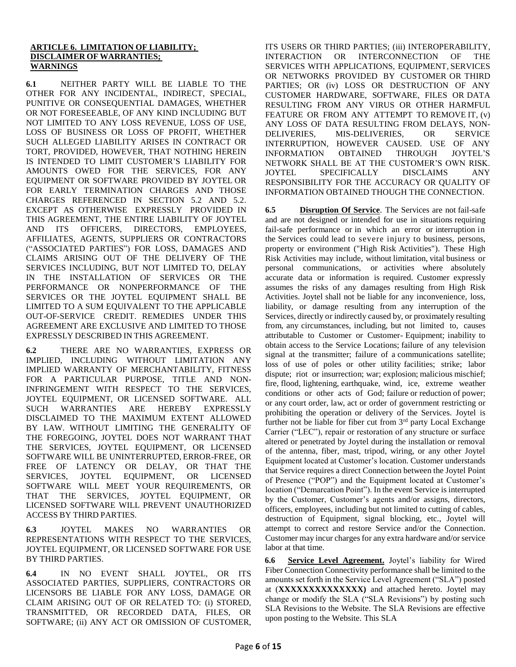### **ARTICLE 6. LIMITATION OF LIABILITY; DISCLAIMER OF WARRANTIES; WARNINGS**

**6.1** NEITHER PARTY WILL BE LIABLE TO THE OTHER FOR ANY INCIDENTAL, INDIRECT, SPECIAL, PUNITIVE OR CONSEQUENTIAL DAMAGES, WHETHER OR NOT FORESEEABLE, OF ANY KIND INCLUDING BUT NOT LIMITED TO ANY LOSS REVENUE, LOSS OF USE, LOSS OF BUSINESS OR LOSS OF PROFIT, WHETHER SUCH ALLEGED LIABILITY ARISES IN CONTRACT OR TORT, PROVIDED, HOWEVER, THAT NOTHING HEREIN IS INTENDED TO LIMIT CUSTOMER'S LIABILITY FOR AMOUNTS OWED FOR THE SERVICES, FOR ANY EQUIPMENT OR SOFTWARE PROVIDED BY JOYTEL OR FOR EARLY TERMINATION CHARGES AND THOSE CHARGES REFERENCED IN SECTION 5.2 AND 5.2. EXCEPT AS OTHERWISE EXPRESSLY PROVIDED IN THIS AGREEMENT, THE ENTIRE LIABILITY OF JOYTEL AND ITS OFFICERS, DIRECTORS, EMPLOYEES, AFFILIATES, AGENTS, SUPPLIERS OR CONTRACTORS ("ASSOCIATED PARTIES") FOR LOSS, DAMAGES AND CLAIMS ARISING OUT OF THE DELIVERY OF THE SERVICES INCLUDING, BUT NOT LIMITED TO, DELAY IN THE INSTALLATION OF SERVICES OR THE PERFORMANCE OR NONPERFORMANCE OF THE SERVICES OR THE JOYTEL EQUIPMENT SHALL BE LIMITED TO A SUM EQUIVALENT TO THE APPLICABLE OUT-OF-SERVICE CREDIT. REMEDIES UNDER THIS AGREEMENT ARE EXCLUSIVE AND LIMITED TO THOSE EXPRESSLY DESCRIBED IN THIS AGREEMENT.

**6.2** THERE ARE NO WARRANTIES, EXPRESS OR IMPLIED, INCLUDING WITHOUT LIMITATION ANY IMPLIED WARRANTY OF MERCHANTABILITY, FITNESS FOR A PARTICULAR PURPOSE, TITLE AND NON-INFRINGEMENT WITH RESPECT TO THE SERVICES, JOYTEL EQUIPMENT, OR LICENSED SOFTWARE. ALL SUCH WARRANTIES ARE HEREBY EXPRESSLY DISCLAIMED TO THE MAXIMUM EXTENT ALLOWED BY LAW. WITHOUT LIMITING THE GENERALITY OF THE FOREGOING, JOYTEL DOES NOT WARRANT THAT THE SERVICES, JOYTEL EQUIPMENT, OR LICENSED SOFTWARE WILL BE UNINTERRUPTED, ERROR-FREE, OR FREE OF LATENCY OR DELAY, OR THAT THE SERVICES, JOYTEL EQUIPMENT, OR LICENSED SOFTWARE WILL MEET YOUR REQUIREMENTS, OR THAT THE SERVICES, JOYTEL EQUIPMENT, OR LICENSED SOFTWARE WILL PREVENT UNAUTHORIZED ACCESS BY THIRD PARTIES.

**6.3** JOYTEL MAKES NO WARRANTIES OR REPRESENTATIONS WITH RESPECT TO THE SERVICES, JOYTEL EQUIPMENT, OR LICENSED SOFTWARE FOR USE BY THIRD PARTIES.

**6.4** IN NO EVENT SHALL JOYTEL, OR ITS ASSOCIATED PARTIES, SUPPLIERS, CONTRACTORS OR LICENSORS BE LIABLE FOR ANY LOSS, DAMAGE OR CLAIM ARISING OUT OF OR RELATED TO: (i) STORED, TRANSMITTED, OR RECORDED DATA, FILES, OR SOFTWARE; (ii) ANY ACT OR OMISSION OF CUSTOMER, ITS USERS OR THIRD PARTIES; (iii) INTEROPERABILITY, INTERACTION OR INTERCONNECTION OF THE SERVICES WITH APPLICATIONS, EQUIPMENT, SERVICES OR NETWORKS PROVIDED BY CUSTOMER OR THIRD PARTIES; OR (iv) LOSS OR DESTRUCTION OF ANY CUSTOMER HARDWARE, SOFTWARE, FILES OR DATA RESULTING FROM ANY VIRUS OR OTHER HARMFUL FEATURE OR FROM ANY ATTEMPT TO REMOVE IT, (v) ANY LOSS OF DATA RESULTING FROM DELAYS, NON-DELIVERIES, MIS-DELIVERIES, OR SERVICE INTERRUPTION, HOWEVER CAUSED. USE OF ANY INFORMATION OBTAINED THROUGH JOYTEL'S NETWORK SHALL BE AT THE CUSTOMER'S OWN RISK. JOYTEL SPECIFICALLY DISCLAIMS ANY RESPONSIBILITY FOR THE ACCURACY OR QUALITY OF INFORMATION OBTAINED THOUGH THE CONNECTION.

**6.5 Disruption Of Service**. The Services are not fail-safe and are not designed or intended for use in situations requiring fail-safe performance or in which an error or interruption in the Services could lead to severe injury to business, persons, property or environment ("High Risk Activities"). These High Risk Activities may include, without limitation, vital business or personal communications, or activities where absolutely accurate data or information is required. Customer expressly assumes the risks of any damages resulting from High Risk Activities. Joytel shall not be liable for any inconvenience, loss, liability, or damage resulting from any interruption of the Services, directly or indirectly caused by, or proximately resulting from, any circumstances, including, but not limited to, causes attributable to Customer or Customer- Equipment; inability to obtain access to the Service Locations; failure of any television signal at the transmitter; failure of a communications satellite; loss of use of poles or other utility facilities; strike; labor dispute; riot or insurrection; war; explosion; malicious mischief; fire, flood, lightening, earthquake, wind, ice, extreme weather conditions or other acts of God; failure or reduction of power; or any court order, law, act or order of government restricting or prohibiting the operation or delivery of the Services. Joytel is further not be liable for fiber cut from 3<sup>rd</sup> party Local Exchange Carrier ("LEC"), repair or restoration of any structure or surface altered or penetrated by Joytel during the installation or removal of the antenna, fiber, mast, tripod, wiring, or any other Joytel Equipment located at Customer's location. Customer understands that Service requires a direct Connection between the Joytel Point of Presence ("POP") and the Equipment located at Customer's location ("Demarcation Point"). In the event Service is interrupted by the Customer, Customer's agents and/or assigns, directors, officers, employees, including but not limited to cutting of cables, destruction of Equipment, signal blocking, etc., Joytel will attempt to correct and restore Service and/or the Connection. Customer may incur charges for any extra hardware and/or service labor at that time.

**6.6 Service Level Agreement.** Joytel's liability for Wired Fiber Connection Connectivity performance shall be limited to the amounts set forth in the Service Level Agreement ("SLA") posted at (**XXXXXXXXXXXXXX)** and attached hereto. Joytel may change or modify the SLA ("SLA Revisions") by posting such SLA Revisions to the Website. The SLA Revisions are effective upon posting to the Website. This SLA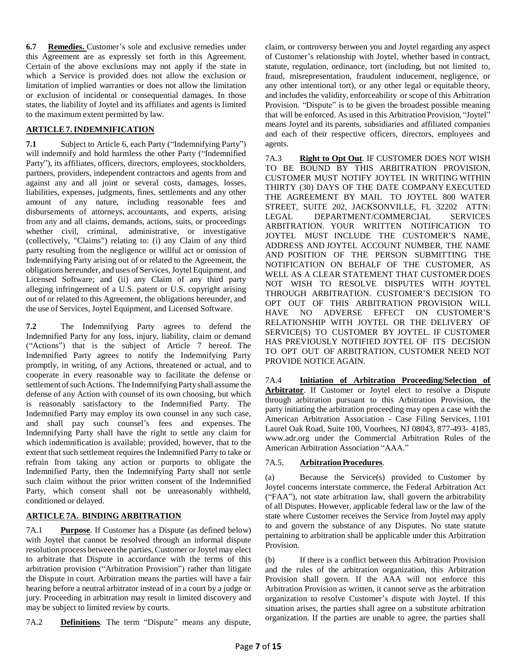**6.7 Remedies.** Customer's sole and exclusive remedies under this Agreement are as expressly set forth in this Agreement. Certain of the above exclusions may not apply if the state in which a Service is provided does not allow the exclusion or limitation of implied warranties or does not allow the limitation or exclusion of incidental or consequential damages. In those states, the liability of Joytel and its affiliates and agents is limited to the maximum extent permitted by law.

## **ARTICLE7.INDEMNIFICATION**

**7.1** Subject to Article 6, each Party ("Indemnifying Party") will indemnify and hold harmless the other Party ("Indemnified Party"), its affiliates, officers, directors, employees, stockholders, partners, providers, independent contractors and agents from and against any and all joint or several costs, damages, losses, liabilities, expenses, judgments, fines, settlements and any other amount of any nature, including reasonable fees and disbursements of attorneys, accountants, and experts, arising from any and all claims, demands, actions, suits, or proceedings whether civil, criminal, administrative, or investigative (collectively, "Claims") relating to: (i) any Claim of any third party resulting from the negligence or willful act or omission of Indemnifying Party arising out of or related to the Agreement, the obligations hereunder, and uses of Services,Joytel Equipment, and Licensed Software; and (ii) any Claim of any third party alleging infringement of a U.S. patent or U.S. copyright arising out of or related to this Agreement, the obligations hereunder, and the use of Services, Joytel Equipment, and Licensed Software.

**7.2** The Indemnifying Party agrees to defend the Indemnified Party for any loss, injury, liability, claim or demand ("Actions") that is the subject of Article 7 hereof. The Indemnified Party agrees to notify the Indemnifying Party promptly, in writing, of any Actions, threatened or actual, and to cooperate in every reasonable way to facilitate the defense or settlement of such Actions. The Indemnifying Party shall assume the defense of any Action with counsel of its own choosing, but which is reasonably satisfactory to the Indemnified Party. The Indemnified Party may employ its own counsel in any such case, and shall pay such counsel's fees and expenses. The Indemnifying Party shall have the right to settle any claim for which indemnification is available; provided, however, that to the extent that such settlement requires the Indemnified Party to take or refrain from taking any action or purports to obligate the Indemnified Party, then the Indemnifying Party shall not settle such claim without the prior written consent of the Indemnified Party, which consent shall not be unreasonably withheld, conditioned or delayed.

## **ARTICLE 7A. BINDING ARBITRATION**

7A.1 **Purpose**. If Customer has a Dispute (as defined below) with Joytel that cannot be resolved through an informal dispute resolution process between the parties, Customer orJoytel may elect to arbitrate that Dispute in accordance with the terms of this arbitration provision ("Arbitration Provision") rather than litigate the Dispute in court. Arbitration means the parties will have a fair hearing before a neutral arbitrator instead of in a court by a judge or jury. Proceeding in arbitration may result in limited discovery and may be subject to limited review by courts.

7A.2 **Definitions**. The term "Dispute" means any dispute,

claim, or controversy between you and Joytel regarding any aspect of Customer's relationship with Joytel, whether based in contract, statute, regulation, ordinance, tort (including, but not limited to, fraud, misrepresentation, fraudulent inducement, negligence, or any other intentional tort), or any other legal or equitable theory, and includes the validity, enforceability or scope of this Arbitration Provision. "Dispute" is to be given the broadest possible meaning that will be enforced. As used in this Arbitration Provision, "Joytel" means Joytel and its parents, subsidiaries and affiliated companies and each of their respective officers, directors, employees and agents.

7A.3 **Right to Opt Out**. IF CUSTOMER DOES NOT WISH TO BE BOUND BY THIS ARBITRATION PROVISION, CUSTOMER MUST NOTIFY JOYTEL IN WRITING WITHIN THIRTY (30) DAYS OF THE DATE COMPANY EXECUTED THE AGREEMENT BY MAIL TO JOYTEL 800 WATER STREET, SUITE 202, JACKSONVILLE, FL 32202 ATTN: LEGAL DEPARTMENT/COMMERCIAL SERVICES ARBITRATION. YOUR WRITTEN NOTIFICATION TO JOYTEL MUST INCLUDE THE CUSTOMER'S NAME, ADDRESS AND JOYTEL ACCOUNT NUMBER, THE NAME AND POSITION OF THE PERSON SUBMITTING THE NOTIFICATION ON BEHALF OF THE CUSTOMER, AS WELL AS A CLEAR STATEMENT THAT CUSTOMER DOES NOT WISH TO RESOLVE DISPUTES WITH JOYTEL THROUGH ARBITRATION. CUSTOMER'S DECISION TO OPT OUT OF THIS ARBITRATION PROVISION WILL HAVE NO ADVERSE EFFECT ON CUSTOMER'S RELATIONSHIP WITH JOYTEL OR THE DELIVERY OF SERVICE(S) TO CUSTOMER BY JOYTEL. IF CUSTOMER HAS PREVIOUSLY NOTIFIED JOYTEL OF ITS DECISION TO OPT OUT OF ARBITRATION, CUSTOMER NEED NOT PROVIDE NOTICE AGAIN.

7A.4 **Initiation of Arbitration Proceeding/Selection of Arbitrator**. If Customer or Joytel elect to resolve a Dispute through arbitration pursuant to this Arbitration Provision, the party initiating the arbitration proceeding may open a case with the American Arbitration Association - Case Filing Services, 1101 Laurel Oak Road, Suite 100, Voorhees, NJ 08043, 877-493- 4185, [www.adr.org](http://www.adr.org/) under the Commercial Arbitration Rules of the American Arbitration Association "AAA."

## 7A.5. **Arbitration Procedures**.

(a) Because the Service(s) provided to Customer by Joytel concerns interstate commerce, the Federal Arbitration Act ("FAA"), not state arbitration law, shall govern the arbitrability of all Disputes. However, applicable federal law or the law of the state where Customer receives the Service from Joytel may apply to and govern the substance of any Disputes. No state statute pertaining to arbitration shall be applicable under this Arbitration Provision.

(b) If there is a conflict between this Arbitration Provision and the rules of the arbitration organization, this Arbitration Provision shall govern. If the AAA will not enforce this Arbitration Provision as written, it cannot serve as the arbitration organization to resolve Customer's dispute with Joytel. If this situation arises, the parties shall agree on a substitute arbitration organization. If the parties are unable to agree, the parties shall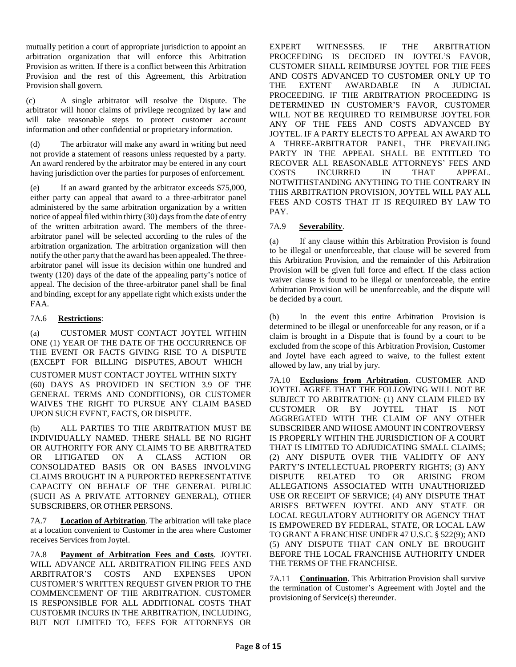mutually petition a court of appropriate jurisdiction to appoint an arbitration organization that will enforce this Arbitration Provision as written. If there is a conflict between this Arbitration Provision and the rest of this Agreement, this Arbitration Provision shall govern.

(c) A single arbitrator will resolve the Dispute. The arbitrator will honor claims of privilege recognized by law and will take reasonable steps to protect customer account information and other confidential or proprietary information.

(d) The arbitrator will make any award in writing but need not provide a statement of reasons unless requested by a party. An award rendered by the arbitrator may be entered in any court having jurisdiction over the parties for purposes of enforcement.

(e) If an award granted by the arbitrator exceeds \$75,000, either party can appeal that award to a three-arbitrator panel administered by the same arbitration organization by a written notice of appeal filed within thirty (30) days from the date of entry of the written arbitration award. The members of the threearbitrator panel will be selected according to the rules of the arbitration organization. The arbitration organization will then notify the other party that the award has been appealed. The threearbitrator panel will issue its decision within one hundred and twenty (120) days of the date of the appealing party's notice of appeal. The decision of the three-arbitrator panel shall be final and binding, except for any appellate right which exists under the FAA.

## 7A.6 **Restrictions**:

(a) CUSTOMER MUST CONTACT JOYTEL WITHIN ONE (1) YEAR OF THE DATE OF THE OCCURRENCE OF THE EVENT OR FACTS GIVING RISE TO A DISPUTE (EXCEPT FOR BILLING DISPUTES, ABOUT WHICH CUSTOMER MUST CONTACT JOYTEL WITHIN SIXTY (60) DAYS AS PROVIDED IN SECTION 3.9 OF THE GENERAL TERMS AND CONDITIONS), OR CUSTOMER WAIVES THE RIGHT TO PURSUE ANY CLAIM BASED UPON SUCH EVENT, FACTS, OR DISPUTE.

(b) ALL PARTIES TO THE ARBITRATION MUST BE INDIVIDUALLY NAMED. THERE SHALL BE NO RIGHT OR AUTHORITY FOR ANY CLAIMS TO BE ARBITRATED OR LITIGATED ON A CLASS ACTION OR CONSOLIDATED BASIS OR ON BASES INVOLVING CLAIMS BROUGHT IN A PURPORTED REPRESENTATIVE CAPACITY ON BEHALF OF THE GENERAL PUBLIC (SUCH AS A PRIVATE ATTORNEY GENERAL), OTHER SUBSCRIBERS, OR OTHER PERSONS.

7A.7 **Location of Arbitration**. The arbitration will take place at a location convenient to Customer in the area where Customer receives Services from Joytel.

7A.8 **Payment of Arbitration Fees and Costs**. JOYTEL WILL ADVANCE ALL ARBITRATION FILING FEES AND ARBITRATOR'S COSTS AND EXPENSES UPON CUSTOMER'S WRITTEN REQUEST GIVEN PRIOR TO THE COMMENCEMENT OF THE ARBITRATION. CUSTOMER IS RESPONSIBLE FOR ALL ADDITIONAL COSTS THAT CUSTOEMR INCURS IN THE ARBITRATION, INCLUDING, BUT NOT LIMITED TO, FEES FOR ATTORNEYS OR

EXPERT WITNESSES. IF THE ARBITRATION PROCEEDING IS DECIDED IN JOYTEL'S FAVOR, CUSTOMER SHALL REIMBURSE JOYTEL FOR THE FEES AND COSTS ADVANCED TO CUSTOMER ONLY UP TO THE EXTENT AWARDABLE IN A JUDICIAL PROCEEDING. IF THE ARBITRATION PROCEEDING IS DETERMINED IN CUSTOMER'S FAVOR, CUSTOMER WILL NOT BE REQUIRED TO REIMBURSE JOYTEL FOR ANY OF THE FEES AND COSTS ADVANCED BY JOYTEL. IF A PARTY ELECTS TO APPEAL AN AWARD TO A THREE-ARBITRATOR PANEL, THE PREVAILING PARTY IN THE APPEAL SHALL BE ENTITLED TO RECOVER ALL REASONABLE ATTORNEYS' FEES AND COSTS INCURRED IN THAT APPEAL. NOTWITHSTANDING ANYTHING TO THE CONTRARY IN THIS ARBITRATION PROVISION, JOYTEL WILL PAY ALL FEES AND COSTS THAT IT IS REQUIRED BY LAW TO PAY.

## 7A.9 **Severability**.

(a) If any clause within this Arbitration Provision is found to be illegal or unenforceable, that clause will be severed from this Arbitration Provision, and the remainder of this Arbitration Provision will be given full force and effect. If the class action waiver clause is found to be illegal or unenforceable, the entire Arbitration Provision will be unenforceable, and the dispute will be decided by a court.

(b) In the event this entire Arbitration Provision is determined to be illegal or unenforceable for any reason, or if a claim is brought in a Dispute that is found by a court to be excluded from the scope of this Arbitration Provision, Customer and Joytel have each agreed to waive, to the fullest extent allowed by law, any trial by jury.

7A.10 **Exclusions from Arbitration**. CUSTOMER AND JOYTEL AGREE THAT THE FOLLOWING WILL NOT BE SUBJECT TO ARBITRATION: (1) ANY CLAIM FILED BY CUSTOMER OR BY JOYTEL THAT IS NOT AGGREGATED WITH THE CLAIM OF ANY OTHER SUBSCRIBER AND WHOSE AMOUNT IN CONTROVERSY IS PROPERLY WITHIN THE JURISDICTION OF A COURT THAT IS LIMITED TO ADJUDICATING SMALL CLAIMS; (2) ANY DISPUTE OVER THE VALIDITY OF ANY PARTY'S INTELLECTUAL PROPERTY RIGHTS; (3) ANY DISPUTE RELATED TO OR ARISING FROM ALLEGATIONS ASSOCIATED WITH UNAUTHORIZED USE OR RECEIPT OF SERVICE; (4) ANY DISPUTE THAT ARISES BETWEEN JOYTEL AND ANY STATE OR LOCAL REGULATORY AUTHORITY OR AGENCY THAT IS EMPOWERED BY FEDERAL, STATE, OR LOCAL LAW TO GRANT A FRANCHISE UNDER 47 U.S.C. § 522(9); AND (5) ANY DISPUTE THAT CAN ONLY BE BROUGHT BEFORE THE LOCAL FRANCHISE AUTHORITY UNDER THE TERMS OF THE FRANCHISE.

7A.11 **Continuation**. This Arbitration Provision shall survive the termination of Customer's Agreement with Joytel and the provisioning of Service(s) thereunder.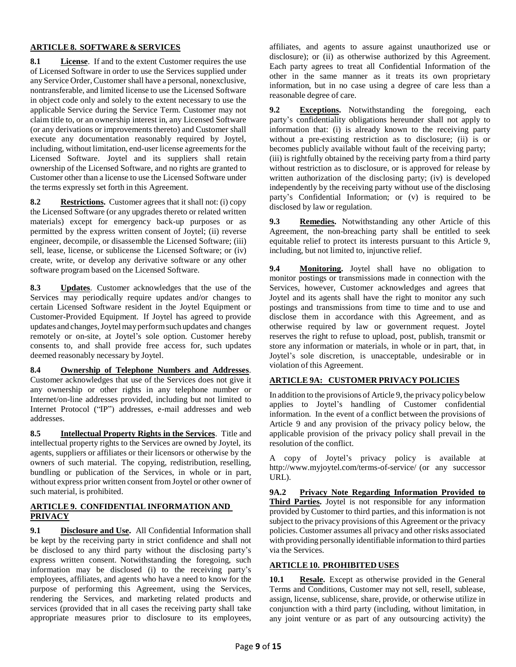### **ARTICLE 8. SOFTWARE & SERVICES**

**8.1 License**. If and to the extent Customer requires the use of Licensed Software in order to use the Services supplied under any Service Order, Customer shall have a personal, nonexclusive, nontransferable, and limited license to use the Licensed Software in object code only and solely to the extent necessary to use the applicable Service during the Service Term. Customer may not claim title to, or an ownership interest in, any Licensed Software (or any derivations or improvements thereto) and Customer shall execute any documentation reasonably required by Joytel, including, without limitation, end-user license agreements for the Licensed Software. Joytel and its suppliers shall retain ownership of the Licensed Software, and no rights are granted to Customer other than a license to use the Licensed Software under the terms expressly set forth in this Agreement.

**8.2 Restrictions.** Customer agrees that it shall not: (i) copy the Licensed Software (or any upgrades thereto or related written materials) except for emergency back-up purposes or as permitted by the express written consent of Joytel; (ii) reverse engineer, decompile, or disassemble the Licensed Software; (iii) sell, lease, license, or sublicense the Licensed Software; or (iv) create, write, or develop any derivative software or any other software program based on the Licensed Software.

**8.3 Updates**. Customer acknowledges that the use of the Services may periodically require updates and/or changes to certain Licensed Software resident in the Joytel Equipment or Customer-Provided Equipment. If Joytel has agreed to provide updates and changes,Joytelmay performsuch updates and changes remotely or on-site, at Joytel's sole option. Customer hereby consents to, and shall provide free access for, such updates deemed reasonably necessary by Joytel.

**8.4 Ownership of Telephone Numbers and Addresses**. Customer acknowledges that use of the Services does not give it any ownership or other rights in any telephone number or Internet/on-line addresses provided, including but not limited to Internet Protocol ("IP") addresses, e-mail addresses and web addresses.

**8.5 Intellectual Property Rights in the Services**. Title and intellectual property rights to the Services are owned by Joytel, its agents, suppliers or affiliates or their licensors or otherwise by the owners of such material. The copying, redistribution, reselling, bundling or publication of the Services, in whole or in part, without express prior written consent from Joytel or other owner of such material, is prohibited.

## **ARTICLE 9. CONFIDENTIAL INFORMATION AND PRIVACY**

**9.1 Disclosure and Use.** All Confidential Information shall be kept by the receiving party in strict confidence and shall not be disclosed to any third party without the disclosing party's express written consent. Notwithstanding the foregoing, such information may be disclosed (i) to the receiving party's employees, affiliates, and agents who have a need to know for the purpose of performing this Agreement, using the Services, rendering the Services, and marketing related products and services (provided that in all cases the receiving party shall take appropriate measures prior to disclosure to its employees,

affiliates, and agents to assure against unauthorized use or disclosure); or (ii) as otherwise authorized by this Agreement. Each party agrees to treat all Confidential Information of the other in the same manner as it treats its own proprietary information, but in no case using a degree of care less than a reasonable degree of care.

**9.2 Exceptions.** Notwithstanding the foregoing, each party's confidentiality obligations hereunder shall not apply to information that: (i) is already known to the receiving party without a pre-existing restriction as to disclosure; (ii) is or becomes publicly available without fault of the receiving party; (iii) is rightfully obtained by the receiving party from a third party without restriction as to disclosure, or is approved for release by written authorization of the disclosing party; (iv) is developed independently by the receiving party without use of the disclosing party's Confidential Information; or (v) is required to be disclosed by law or regulation.

**9.3 Remedies.** Notwithstanding any other Article of this Agreement, the non-breaching party shall be entitled to seek equitable relief to protect its interests pursuant to this Article 9, including, but not limited to, injunctive relief.

**9.4 Monitoring.** Joytel shall have no obligation to monitor postings or transmissions made in connection with the Services, however, Customer acknowledges and agrees that Joytel and its agents shall have the right to monitor any such postings and transmissions from time to time and to use and disclose them in accordance with this Agreement, and as otherwise required by law or government request. Joytel reserves the right to refuse to upload, post, publish, transmit or store any information or materials, in whole or in part, that, in Joytel's sole discretion, is unacceptable, undesirable or in violation of this Agreement.

## **ARTICLE 9A: CUSTOMER PRIVACY POLICIES**

In addition to the provisions of Article 9, the privacy policy below applies to Joytel's handling of Customer confidential information. In the event of a conflict between the provisions of Article 9 and any provision of the privacy policy below, the applicable provision of the privacy policy shall prevail in the resolution of the conflict.

A copy of Joytel's privacy policy is available at http://www.myjoytel.com/terms-of-service/ (or any successor URL).

**9A.2 Privacy Note Regarding Information Provided to Third Parties.** Joytel is not responsible for any information provided by Customer to third parties, and this information is not subject to the privacy provisions of this Agreement or the privacy policies. Customer assumes all privacy and other risks associated with providing personally identifiable information to third parties via the Services.

## **ARTICLE10. PROHIBITED USES**

**10.1 Resale.** Except as otherwise provided in the General Terms and Conditions, Customer may not sell, resell, sublease, assign, license, sublicense, share, provide, or otherwise utilize in conjunction with a third party (including, without limitation, in any joint venture or as part of any outsourcing activity) the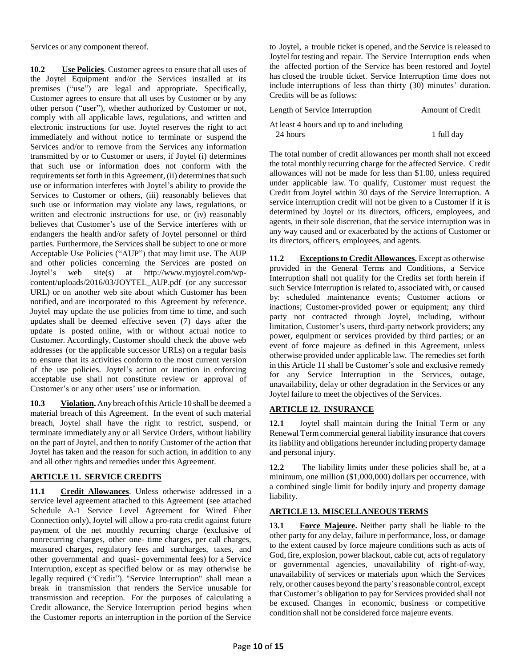Services or any component thereof.

**10.2 Use Policies**. Customer agrees to ensure that all uses of the Joytel Equipment and/or the Services installed at its premises ("use") are legal and appropriate. Specifically, Customer agrees to ensure that all uses by Customer or by any other person ("user"), whether authorized by Customer or not, comply with all applicable laws, regulations, and written and electronic instructions for use. Joytel reserves the right to act immediately and without notice to terminate or suspend the Services and/or to remove from the Services any information transmitted by or to Customer or users, if Joytel (i) determines that such use or information does not conform with the requirements set forth in this Agreement, (ii) determines that such use or information interferes with Joytel's ability to provide the Services to Customer or others, (iii) reasonably believes that such use or information may violate any laws, regulations, or written and electronic instructions for use, or (iv) reasonably believes that Customer's use of the Service interferes with or endangers the health and/or safety of Joytel personnel or third parties. Furthermore, the Services shall be subject to one or more Acceptable Use Policies ("AUP") that may limit use. The AUP and other policies concerning the Services are posted on Joytel's web site(s) at http://www.myjoytel.com/wpcontent/uploads/2016/03/JOYTEL\_AUP.pdf (or any successor URL) or on another web site about which Customer has been notified, and are incorporated to this Agreement by reference. Joytel may update the use policies from time to time, and such updates shall be deemed effective seven (7) days after the update is posted online, with or without actual notice to Customer. Accordingly, Customer should check the above web addresses (or the applicable successor URLs) on a regular basis to ensure that its activities conform to the most current version of the use policies. Joytel's action or inaction in enforcing acceptable use shall not constitute review or approval of Customer's or any other users' use or information.

**10.3 Violation.** Any breach ofthis Article 10 shall be deemed a material breach of this Agreement. In the event of such material breach, Joytel shall have the right to restrict, suspend, or terminate immediately any or all Service Orders, without liability on the part of Joytel, and then to notify Customer of the action that Joytel has taken and the reason for such action, in addition to any and all other rights and remedies under this Agreement.

## **ARTICLE 11. SERVICE CREDITS**

**11.1 Credit Allowances**. Unless otherwise addressed in a service level agreement attached to this Agreement (see attached Schedule A-1 Service Level Agreement for Wired Fiber Connection only), Joytel will allow a pro-rata credit against future payment of the net monthly recurring charge (exclusive of nonrecurring charges, other one- time charges, per call charges, measured charges, regulatory fees and surcharges, taxes, and other governmental and quasi- governmental fees) for a Service Interruption, except as specified below or as may otherwise be legally required ("Credit"). "Service Interruption" shall mean a break in transmission that renders the Service unusable for transmission and reception. For the purposes of calculating a Credit allowance, the Service Interruption period begins when the Customer reports an interruption in the portion of the Service

to Joytel, a trouble ticket is opened, and the Service is released to Joytel for testing and repair. The Service Interruption ends when the affected portion of the Service has been restored and Joytel has closed the trouble ticket. Service Interruption time does not include interruptions of less than thirty (30) minutes' duration. Credits will be as follows:

| Length of Service Interruption                       | <b>Amount of Credit</b> |
|------------------------------------------------------|-------------------------|
| At least 4 hours and up to and including<br>24 hours | 1 full day              |

The total number of credit allowances per month shall not exceed the total monthly recurring charge for the affected Service. Credit allowances will not be made for less than \$1.00, unless required under applicable law. To qualify, Customer must request the Credit from Joytel within 30 days of the Service Interruption. A service interruption credit will not be given to a Customer if it is determined by Joytel or its directors, officers, employees, and agents, in their sole discretion, that the service interruption was in any way caused and or exacerbated by the actions of Customer or its directors, officers, employees, and agents.

**11.2 Exceptionsto Credit Allowances.** Except as otherwise provided in the General Terms and Conditions, a Service Interruption shall not qualify for the Credits set forth herein if such Service Interruption is related to, associated with, or caused by: scheduled maintenance events; Customer actions or inactions; Customer-provided power or equipment; any third party not contracted through Joytel, including, without limitation, Customer's users, third-party network providers; any power, equipment or services provided by third parties; or an event of force majeure as defined in this Agreement, unless otherwise provided under applicable law. The remedies set forth in this Article 11 shall be Customer's sole and exclusive remedy for any Service Interruption in the Services, outage, unavailability, delay or other degradation in the Services or any Joytel failure to meet the objectives of the Services.

### **ARTICLE 12. INSURANCE**

**12.1** Joytel shall maintain during the Initial Term or any Renewal Termcommercial general liability insurance that covers its liability and obligations hereunder including property damage and personal injury.

12.2 The liability limits under these policies shall be, at a minimum, one million (\$1,000,000) dollars per occurrence, with a combined single limit for bodily injury and property damage liability.

## **ARTICLE13. MISCELLANEOUS TERMS**

**13.1 Force Majeure.** Neither party shall be liable to the other party for any delay, failure in performance, loss, or damage to the extent caused by force majeure conditions such as acts of God, fire, explosion, power blackout, cable cut, acts of regulatory or governmental agencies, unavailability of right-of-way, unavailability of services or materials upon which the Services rely, or other causes beyond the party's reasonable control, except that Customer's obligation to pay for Services provided shall not be excused. Changes in economic, business or competitive condition shall not be considered force majeure events.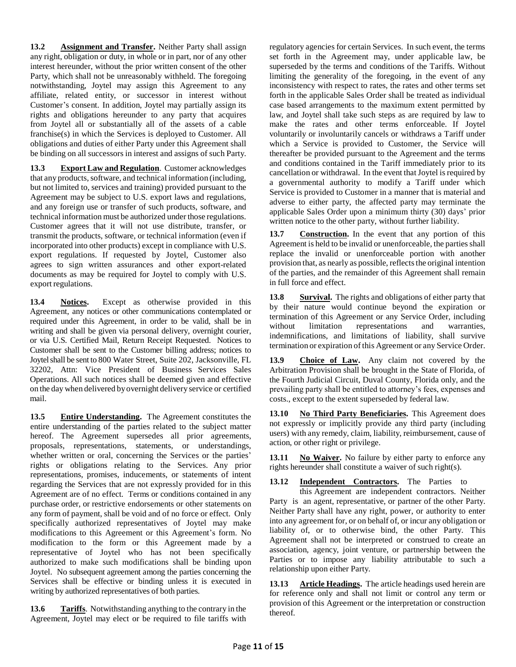**13.2 Assignment and Transfer.** Neither Party shall assign any right, obligation or duty, in whole or in part, nor of any other interest hereunder, without the prior written consent of the other Party, which shall not be unreasonably withheld. The foregoing notwithstanding, Joytel may assign this Agreement to any affiliate, related entity, or successor in interest without Customer's consent. In addition, Joytel may partially assign its rights and obligations hereunder to any party that acquires from Joytel all or substantially all of the assets of a cable franchise(s) in which the Services is deployed to Customer. All obligations and duties of either Party under this Agreement shall be binding on all successors in interest and assigns of such Party.

**13.3 Export Law and Regulation**. Customer acknowledges that any products, software, and technical information (including, but not limited to, services and training) provided pursuant to the Agreement may be subject to U.S. export laws and regulations, and any foreign use or transfer of such products, software, and technical information must be authorized under those regulations. Customer agrees that it will not use distribute, transfer, or transmit the products, software, or technical information (even if incorporated into other products) except in compliance with U.S. export regulations. If requested by Joytel, Customer also agrees to sign written assurances and other export-related documents as may be required for Joytel to comply with U.S. export regulations.

**13.4 Notices.** Except as otherwise provided in this Agreement, any notices or other communications contemplated or required under this Agreement, in order to be valid, shall be in writing and shall be given via personal delivery, overnight courier, or via U.S. Certified Mail, Return Receipt Requested. Notices to Customer shall be sent to the Customer billing address; notices to Joytel shall be sent to 800 Water Street, Suite 202, Jacksonville, FL 32202, Attn: Vice President of Business Services Sales Operations. All such notices shall be deemed given and effective on the day when delivered byovernight delivery service or certified mail.

**13.5 Entire Understanding.** The Agreement constitutes the entire understanding of the parties related to the subject matter hereof. The Agreement supersedes all prior agreements, proposals, representations, statements, or understandings, whether written or oral, concerning the Services or the parties' rights or obligations relating to the Services. Any prior representations, promises, inducements, or statements of intent regarding the Services that are not expressly provided for in this Agreement are of no effect. Terms or conditions contained in any purchase order, or restrictive endorsements or other statements on any form of payment, shall be void and of no force or effect. Only specifically authorized representatives of Joytel may make modifications to this Agreement or this Agreement's form. No modification to the form or this Agreement made by a representative of Joytel who has not been specifically authorized to make such modifications shall be binding upon Joytel. No subsequent agreement among the parties concerning the Services shall be effective or binding unless it is executed in writing by authorized representatives of both parties.

**13.6 Tariffs**. Notwithstanding anything to the contrary in the Agreement, Joytel may elect or be required to file tariffs with

regulatory agencies for certain Services. In such event, the terms set forth in the Agreement may, under applicable law, be superseded by the terms and conditions of the Tariffs. Without limiting the generality of the foregoing, in the event of any inconsistency with respect to rates, the rates and other terms set forth in the applicable Sales Order shall be treated as individual case based arrangements to the maximum extent permitted by law, and Joytel shall take such steps as are required by law to make the rates and other terms enforceable. If Joytel voluntarily or involuntarily cancels or withdraws a Tariff under which a Service is provided to Customer, the Service will thereafter be provided pursuant to the Agreement and the terms and conditions contained in the Tariff immediately prior to its cancellation or withdrawal. In the event that Joytel is required by a governmental authority to modify a Tariff under which Service is provided to Customer in a manner that is material and adverse to either party, the affected party may terminate the applicable Sales Order upon a minimum thirty (30) days' prior written notice to the other party, without further liability.

**13.7 Construction.** In the event that any portion of this Agreement is held to be invalid or unenforceable, the parties shall replace the invalid or unenforceable portion with another provision that, as nearly as possible, reflects the original intention of the parties, and the remainder of this Agreement shall remain in full force and effect.

**13.8 Survival.** The rights and obligations of either party that by their nature would continue beyond the expiration or termination of this Agreement or any Service Order, including without limitation representations and warranties, indemnifications, and limitations of liability, shall survive termination or expiration ofthis Agreement or any Service Order.

**13.9 Choice of Law.** Any claim not covered by the Arbitration Provision shall be brought in the State of Florida, of the Fourth Judicial Circuit, Duval County, Florida only, and the prevailing party shall be entitled to attorney's fees, expenses and costs., except to the extent superseded by federal law.

**13.10 No Third Party Beneficiaries.** This Agreement does not expressly or implicitly provide any third party (including users) with any remedy, claim, liability, reimbursement, cause of action, or other right or privilege.

**13.11 No Waiver.** No failure by either party to enforce any rights hereunder shall constitute a waiver of such right(s).

**13.12 Independent Contractors.** The Parties to

this Agreement are independent contractors. Neither Party is an agent, representative, or partner of the other Party. Neither Party shall have any right, power, or authority to enter into any agreement for, or on behalf of, or incur any obligation or liability of, or to otherwise bind, the other Party. This Agreement shall not be interpreted or construed to create an association, agency, joint venture, or partnership between the Parties or to impose any liability attributable to such a relationship upon either Party.

**13.13 Article Headings.** The article headings used herein are for reference only and shall not limit or control any term or provision of this Agreement or the interpretation or construction thereof.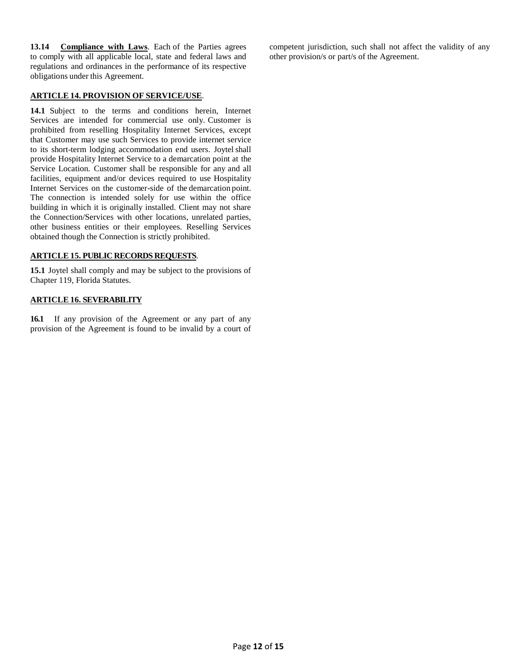**13.14 Compliance with Laws**. Each of the Parties agrees to comply with all applicable local, state and federal laws and regulations and ordinances in the performance of its respective obligations under this Agreement.

#### **ARTICLE 14. PROVISION OF SERVICE/USE**.

**14.1** Subject to the terms and conditions herein, Internet Services are intended for commercial use only. Customer is prohibited from reselling Hospitality Internet Services, except that Customer may use such Services to provide internet service to its short-term lodging accommodation end users. Joytel shall provide Hospitality Internet Service to a demarcation point at the Service Location. Customer shall be responsible for any and all facilities, equipment and/or devices required to use Hospitality Internet Services on the customer-side of the demarcation point. The connection is intended solely for use within the office building in which it is originally installed. Client may not share the Connection/Services with other locations, unrelated parties, other business entities or their employees. Reselling Services obtained though the Connection is strictly prohibited.

### **ARTICLE 15. PUBLIC RECORDS REQUESTS**.

**15.1** Joytel shall comply and may be subject to the provisions of Chapter 119, Florida Statutes.

### **ARTICLE 16. SEVERABILITY**

**16.1** If any provision of the Agreement or any part of any provision of the Agreement is found to be invalid by a court of competent jurisdiction, such shall not affect the validity of any other provision/s or part/s of the Agreement.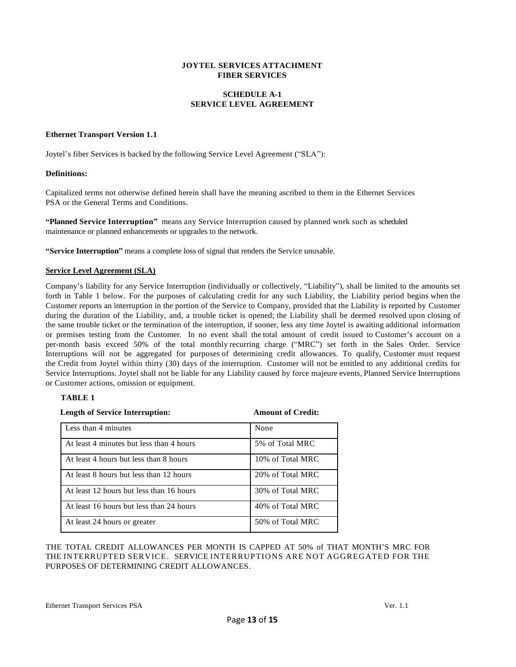#### **JOYTEL SERVICES ATTACHMENT FIBER SERVICES**

### **SCHEDULE A-1 SERVICE LEVEL AGREEMENT**

#### **Ethernet Transport Version 1.1**

Joytel's fiber Services is backed by the following Service Level Agreement ("SLA"):

### **Definitions:**

Capitalized terms not otherwise defined herein shall have the meaning ascribed to them in the Ethernet Services PSA or the General Terms and Conditions.

**"Planned Service Interruption"** means any Service Interruption caused by planned work such as scheduled maintenance or planned enhancements or upgrades to the network.

**"Service Interruption"** means a complete loss of signal that renders the Service unusable.

### **Service Level Agreement (SLA)**

Company's liability for any Service Interruption (individually or collectively, "Liability"), shall be limited to the amounts set forth in Table 1 below. For the purposes of calculating credit for any such Liability, the Liability period begins when the Customer reports an interruption in the portion of the Service to Company, provided that the Liability is reported by Customer during the duration of the Liability, and, a trouble ticket is opened; the Liability shall be deemed resolved upon closing of the same trouble ticket or the termination of the interruption, if sooner, less any time Joytel is awaiting additional information or premises testing from the Customer. In no event shall the total amount of credit issued to Customer's account on a per-month basis exceed 50% of the total monthly recurring charge ("MRC") set forth in the Sales Order. Service Interruptions will not be aggregated for purposes of determining credit allowances. To qualify, Customer must request the Credit from Joytel within thirty (30) days of the interruption. Customer will not be entitled to any additional credits for Service Interruptions. Joytel shall not be liable for any Liability caused by force majeure events, Planned Service Interruptions or Customer actions, omission or equipment.

### **TABLE 1**

| <b>Length of Service Interruption:</b>   | <b>Amount of Credit:</b> |  |
|------------------------------------------|--------------------------|--|
| Less than 4 minutes                      | None                     |  |
| At least 4 minutes but less than 4 hours | 5% of Total MRC          |  |
| At least 4 hours but less than 8 hours   | 10% of Total MRC         |  |
| At least 8 hours but less than 12 hours  | 20% of Total MRC         |  |
| At least 12 hours but less than 16 hours | 30% of Total MRC         |  |
| At least 16 hours but less than 24 hours | 40% of Total MRC         |  |
| At least 24 hours or greater             | 50% of Total MRC         |  |

THE TOTAL CREDIT ALLOWANCES PER MONTH IS CAPPED AT 50% of THAT MONTH'S MRC FOR THE INTERRUPTED SERVICE. SERVICE INTERRUPTIONS ARE NOT AGGREGATED FOR THE PURPOSES OF DETERMINING CREDIT ALLOWANCES.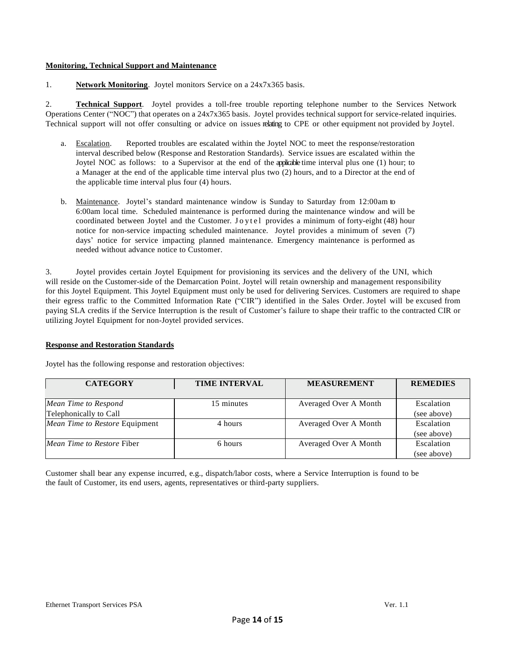### **Monitoring, Technical Support and Maintenance**

1. **Network Monitoring**. Joytel monitors Service on a 24x7x365 basis.

2. **Technical Support**. Joytel provides a toll-free trouble reporting telephone number to the Services Network Operations Center ("NOC") that operates on a 24x7x365 basis. Joytel provides technical support for service-related inquiries. Technical support will not offer consulting or advice on issues relating to CPE or other equipment not provided by Joytel.

- a. Escalation. Reported troubles are escalated within the Joytel NOC to meet the response/restoration interval described below (Response and Restoration Standards). Service issues are escalated within the Joytel NOC as follows: to a Supervisor at the end of the applicable time interval plus one (1) hour; to a Manager at the end of the applicable time interval plus two (2) hours, and to a Director at the end of the applicable time interval plus four (4) hours.
- b. Maintenance. Joytel's standard maintenance window is Sunday to Saturday from 12:00am to 6:00am local time. Scheduled maintenance is performed during the maintenance window and will be coordinated between Joytel and the Customer. Joytel provides a minimum of forty-eight (48) hour notice for non-service impacting scheduled maintenance. Joytel provides a minimum of seven (7) days' notice for service impacting planned maintenance. Emergency maintenance is performed as needed without advance notice to Customer.

3. Joytel provides certain Joytel Equipment for provisioning its services and the delivery of the UNI, which will reside on the Customer-side of the Demarcation Point. Joytel will retain ownership and management responsibility for this Joytel Equipment. This Joytel Equipment must only be used for delivering Services. Customers are required to shape their egress traffic to the Committed Information Rate ("CIR") identified in the Sales Order. Joytel will be excused from paying SLA credits if the Service Interruption is the result of Customer's failure to shape their traffic to the contracted CIR or utilizing Joytel Equipment for non-Joytel provided services.

### **Response and Restoration Standards**

| <b>CATEGORY</b>                   | <b>TIME INTERVAL</b> | <b>MEASUREMENT</b>    | <b>REMEDIES</b> |
|-----------------------------------|----------------------|-----------------------|-----------------|
| Mean Time to Respond              | 15 minutes           | Averaged Over A Month | Escalation      |
| Telephonically to Call            |                      |                       | (see above)     |
| Mean Time to Restore Equipment    | 4 hours              | Averaged Over A Month | Escalation      |
|                                   |                      |                       | (see above)     |
| <i>Mean Time to Restore Fiber</i> | 6 hours              | Averaged Over A Month | Escalation      |
|                                   |                      |                       | (see above)     |

Joytel has the following response and restoration objectives:

Customer shall bear any expense incurred, e.g., dispatch/labor costs, where a Service Interruption is found to be the fault of Customer, its end users, agents, representatives or third-party suppliers.